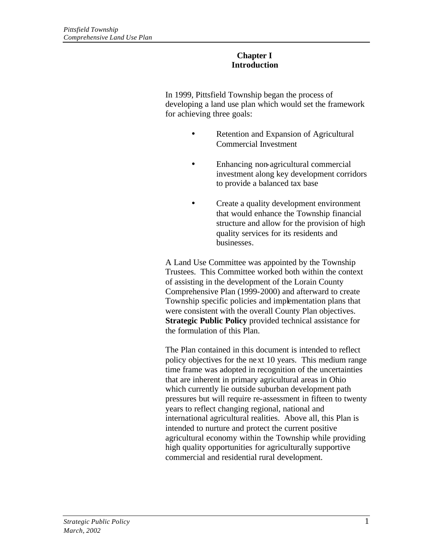### **Chapter I Introduction**

In 1999, Pittsfield Township began the process of developing a land use plan which would set the framework for achieving three goals:

- Retention and Expansion of Agricultural Commercial Investment
- Enhancing non-agricultural commercial investment along key development corridors to provide a balanced tax base
- Create a quality development environment that would enhance the Township financial structure and allow for the provision of high quality services for its residents and businesses.

A Land Use Committee was appointed by the Township Trustees. This Committee worked both within the context of assisting in the development of the Lorain County Comprehensive Plan (1999-2000) and afterward to create Township specific policies and implementation plans that were consistent with the overall County Plan objectives. **Strategic Public Policy** provided technical assistance for the formulation of this Plan.

The Plan contained in this document is intended to reflect policy objectives for the next 10 years. This medium range time frame was adopted in recognition of the uncertainties that are inherent in primary agricultural areas in Ohio which currently lie outside suburban development path pressures but will require re-assessment in fifteen to twenty years to reflect changing regional, national and international agricultural realities. Above all, this Plan is intended to nurture and protect the current positive agricultural economy within the Township while providing high quality opportunities for agriculturally supportive commercial and residential rural development.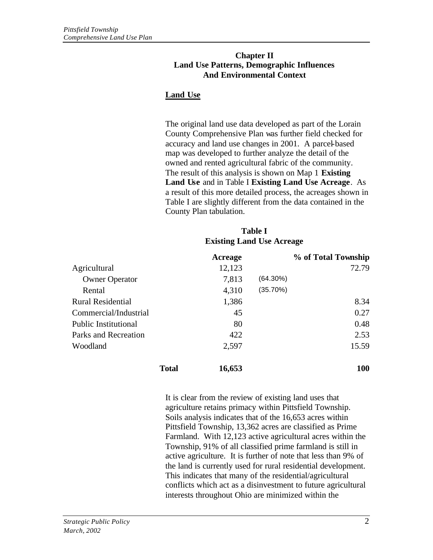#### **Chapter II Land Use Patterns, Demographic Influences And Environmental Context**

# **Land Use**

The original land use data developed as part of the Lorain County Comprehensive Plan was further field checked for accuracy and land use changes in 2001. A parcel-based map was developed to further analyze the detail of the owned and rented agricultural fabric of the community. The result of this analysis is shown on Map 1 **Existing Land Use** and in Table I **Existing Land Use Acreage**. As a result of this more detailed process, the acreages shown in Table I are slightly different from the data contained in the County Plan tabulation.

#### **Table I Existing Land Use Acreage**

|                             |              | Acreage |             | % of Total Township |
|-----------------------------|--------------|---------|-------------|---------------------|
| Agricultural                |              | 12,123  |             | 72.79               |
| <b>Owner Operator</b>       |              | 7,813   | $(64.30\%)$ |                     |
| Rental                      |              | 4,310   | (35.70%)    |                     |
| <b>Rural Residential</b>    |              | 1,386   |             | 8.34                |
| Commercial/Industrial       |              | 45      |             | 0.27                |
| <b>Public Institutional</b> |              | 80      |             | 0.48                |
| Parks and Recreation        |              | 422     |             | 2.53                |
| Woodland                    |              | 2,597   |             | 15.59               |
|                             | <b>Total</b> | 16,653  |             | 100                 |

It is clear from the review of existing land uses that agriculture retains primacy within Pittsfield Township. Soils analysis indicates that of the 16,653 acres within Pittsfield Township, 13,362 acres are classified as Prime Farmland. With 12,123 active agricultural acres within the Township, 91% of all classified prime farmland is still in active agriculture. It is further of note that less than 9% of the land is currently used for rural residential development. This indicates that many of the residential/agricultural conflicts which act as a disinvestment to future agricultural interests throughout Ohio are minimized within the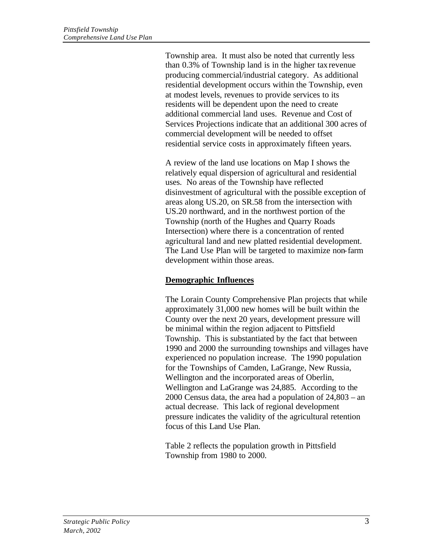Township area. It must also be noted that currently less than 0.3% of Township land is in the higher tax revenue producing commercial/industrial category. As additional residential development occurs within the Township, even at modest levels, revenues to provide services to its residents will be dependent upon the need to create additional commercial land uses. Revenue and Cost of Services Projections indicate that an additional 300 acres of commercial development will be needed to offset residential service costs in approximately fifteen years.

A review of the land use locations on Map I shows the relatively equal dispersion of agricultural and residential uses. No areas of the Township have reflected disinvestment of agricultural with the possible exception of areas along US.20, on SR.58 from the intersection with US.20 northward, and in the northwest portion of the Township (north of the Hughes and Quarry Roads Intersection) where there is a concentration of rented agricultural land and new platted residential development. The Land Use Plan will be targeted to maximize non-farm development within those areas.

## **Demographic Influences**

The Lorain County Comprehensive Plan projects that while approximately 31,000 new homes will be built within the County over the next 20 years, development pressure will be minimal within the region adjacent to Pittsfield Township. This is substantiated by the fact that between 1990 and 2000 the surrounding townships and villages have experienced no population increase. The 1990 population for the Townships of Camden, LaGrange, New Russia, Wellington and the incorporated areas of Oberlin, Wellington and LaGrange was 24,885. According to the 2000 Census data, the area had a population of 24,803 – an actual decrease. This lack of regional development pressure indicates the validity of the agricultural retention focus of this Land Use Plan.

Table 2 reflects the population growth in Pittsfield Township from 1980 to 2000.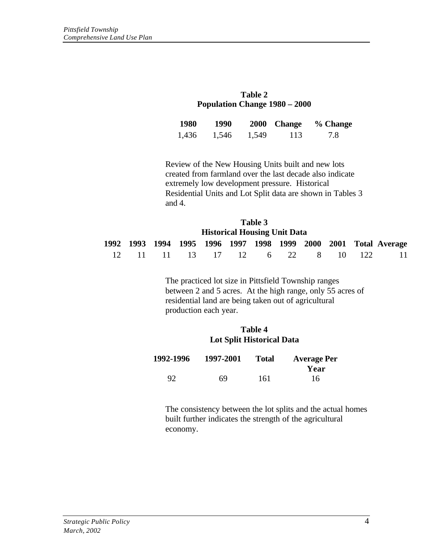| Table 2                              |
|--------------------------------------|
| <b>Population Change 1980 – 2000</b> |

| 1980  | 1990  |       | 2000 Change | % Change |
|-------|-------|-------|-------------|----------|
| 1,436 | 1,546 | 1,549 | 113         | 7.8      |

Review of the New Housing Units built and new lots created from farmland over the last decade also indicate extremely low development pressure. Historical Residential Units and Lot Split data are shown in Tables 3 and 4.

| Table 3<br><b>Historical Housing Unit Data</b> |  |  |  |                                 |  |  |  |  |                                                                 |
|------------------------------------------------|--|--|--|---------------------------------|--|--|--|--|-----------------------------------------------------------------|
|                                                |  |  |  |                                 |  |  |  |  | 1992 1993 1994 1995 1996 1997 1998 1999 2000 2001 Total Average |
|                                                |  |  |  | 12 11 11 13 17 12 6 22 8 10 122 |  |  |  |  | -11                                                             |

The practiced lot size in Pittsfield Township ranges between 2 and 5 acres. At the high range, only 55 acres of residential land are being taken out of agricultural production each year.

#### **Table 4 Lot Split Historical Data**

| 1992-1996 | 1997-2001 | <b>Total</b> | <b>Average Per</b> |
|-----------|-----------|--------------|--------------------|
|           |           |              | Year               |
| 92        | 69        | 161          | 16                 |

The consistency between the lot splits and the actual homes built further indicates the strength of the agricultural economy.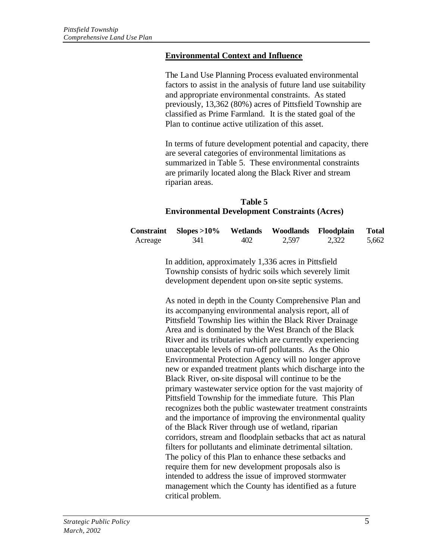#### **Environmental Context and Influence**

The Land Use Planning Process evaluated environmental factors to assist in the analysis of future land use suitability and appropriate environmental constraints. As stated previously, 13,362 (80%) acres of Pittsfield Township are classified as Prime Farmland. It is the stated goal of the Plan to continue active utilization of this asset.

In terms of future development potential and capacity, there are several categories of environmental limitations as summarized in Table 5. These environmental constraints are primarily located along the Black River and stream riparian areas.

### **Table 5 Environmental Development Constraints (Acres)**

|         | $Constraint$ Slopes >10% |     | Wetlands Woodlands Floodplain |       | <b>Total</b> |
|---------|--------------------------|-----|-------------------------------|-------|--------------|
| Acreage | 341                      | 402 | 2,597                         | 2,322 | 5,662        |

In addition, approximately 1,336 acres in Pittsfield Township consists of hydric soils which severely limit development dependent upon on-site septic systems.

As noted in depth in the County Comprehensive Plan and its accompanying environmental analysis report, all of Pittsfield Township lies within the Black River Drainage Area and is dominated by the West Branch of the Black River and its tributaries which are currently experiencing unacceptable levels of run-off pollutants. As the Ohio Environmental Protection Agency will no longer approve new or expanded treatment plants which discharge into the Black River, on-site disposal will continue to be the primary wastewater service option for the vast majority of Pittsfield Township for the immediate future. This Plan recognizes both the public wastewater treatment constraints and the importance of improving the environmental quality of the Black River through use of wetland, riparian corridors, stream and floodplain setbacks that act as natural filters for pollutants and eliminate detrimental siltation. The policy of this Plan to enhance these setbacks and require them for new development proposals also is intended to address the issue of improved stormwater management which the County has identified as a future critical problem.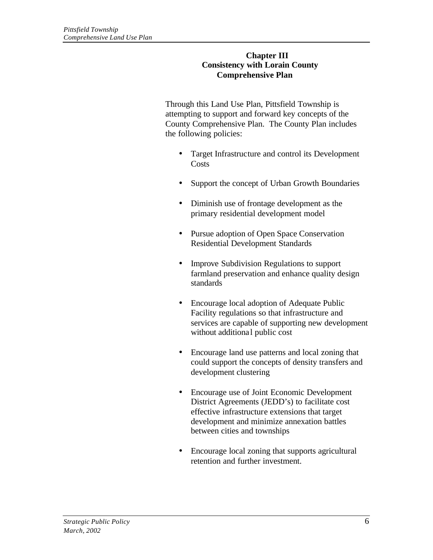#### **Chapter III Consistency with Lorain County Comprehensive Plan**

Through this Land Use Plan, Pittsfield Township is attempting to support and forward key concepts of the County Comprehensive Plan. The County Plan includes the following policies:

- Target Infrastructure and control its Development **Costs**
- Support the concept of Urban Growth Boundaries
- Diminish use of frontage development as the primary residential development model
- Pursue adoption of Open Space Conservation Residential Development Standards
- Improve Subdivision Regulations to support farmland preservation and enhance quality design standards
- Encourage local adoption of Adequate Public Facility regulations so that infrastructure and services are capable of supporting new development without additional public cost
- Encourage land use patterns and local zoning that could support the concepts of density transfers and development clustering
- Encourage use of Joint Economic Development District Agreements (JEDD's) to facilitate cost effective infrastructure extensions that target development and minimize annexation battles between cities and townships
- Encourage local zoning that supports agricultural retention and further investment.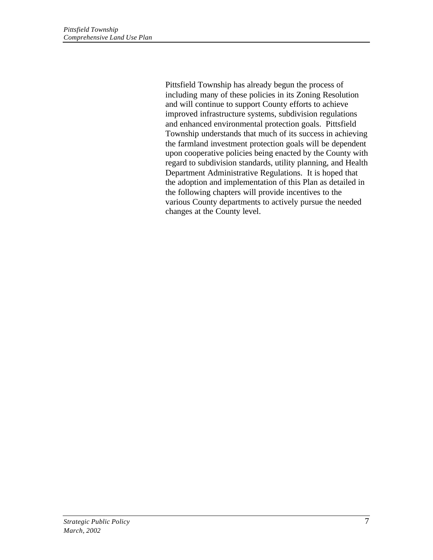Pittsfield Township has already begun the process of including many of these policies in its Zoning Resolution and will continue to support County efforts to achieve improved infrastructure systems, subdivision regulations and enhanced environmental protection goals. Pittsfield Township understands that much of its success in achieving the farmland investment protection goals will be dependent upon cooperative policies being enacted by the County with regard to subdivision standards, utility planning, and Health Department Administrative Regulations. It is hoped that the adoption and implementation of this Plan as detailed in the following chapters will provide incentives to the various County departments to actively pursue the needed changes at the County level.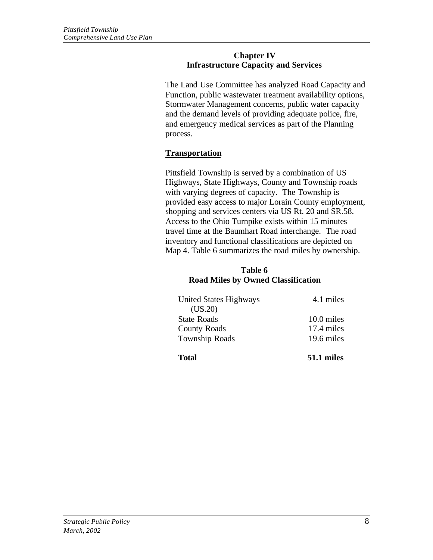#### **Chapter IV Infrastructure Capacity and Services**

The Land Use Committee has analyzed Road Capacity and Function, public wastewater treatment availability options, Stormwater Management concerns, public water capacity and the demand levels of providing adequate police, fire, and emergency medical services as part of the Planning process.

# **Transportation**

Pittsfield Township is served by a combination of US Highways, State Highways, County and Township roads with varying degrees of capacity. The Township is provided easy access to major Lorain County employment, shopping and services centers via US Rt. 20 and SR.58. Access to the Ohio Turnpike exists within 15 minutes travel time at the Baumhart Road interchange. The road inventory and functional classifications are depicted on Map 4. Table 6 summarizes the road miles by ownership.

### **Table 6 Road Miles by Owned Classification**

| <b>Total</b>                  | 51.1 miles |
|-------------------------------|------------|
| <b>Township Roads</b>         | 19.6 miles |
| <b>County Roads</b>           | 17.4 miles |
| <b>State Roads</b>            | 10.0 miles |
| (US.20)                       |            |
| <b>United States Highways</b> | 4.1 miles  |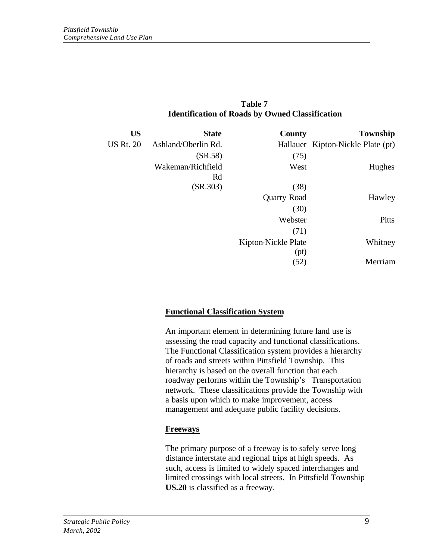| Table 7                                                |
|--------------------------------------------------------|
| <b>Identification of Roads by Owned Classification</b> |

| Township                          | <b>County</b>       | <b>State</b>        | <b>US</b>        |
|-----------------------------------|---------------------|---------------------|------------------|
| Hallauer Kipton-Nickle Plate (pt) |                     | Ashland/Oberlin Rd. | <b>US Rt. 20</b> |
|                                   | (75)                | (SR.58)             |                  |
| Hughes                            | West                | Wakeman/Richfield   |                  |
|                                   |                     | Rd                  |                  |
|                                   | (38)                | (SR.303)            |                  |
| Hawley                            | <b>Quarry Road</b>  |                     |                  |
|                                   | (30)                |                     |                  |
| Pitts                             | Webster             |                     |                  |
|                                   | (71)                |                     |                  |
| Whitney                           | Kipton-Nickle Plate |                     |                  |
|                                   | (pt)                |                     |                  |
| Merriam                           | (52)                |                     |                  |

## **Functional Classification System**

An important element in determining future land use is assessing the road capacity and functional classifications. The Functional Classification system provides a hierarchy of roads and streets within Pittsfield Township. This hierarchy is based on the overall function that each roadway performs within the Township's Transportation network. These classifications provide the Township with a basis upon which to make improvement, access management and adequate public facility decisions.

#### **Freeways**

The primary purpose of a freeway is to safely serve long distance interstate and regional trips at high speeds. As such, access is limited to widely spaced interchanges and limited crossings with local streets. In Pittsfield Township **US.20** is classified as a freeway.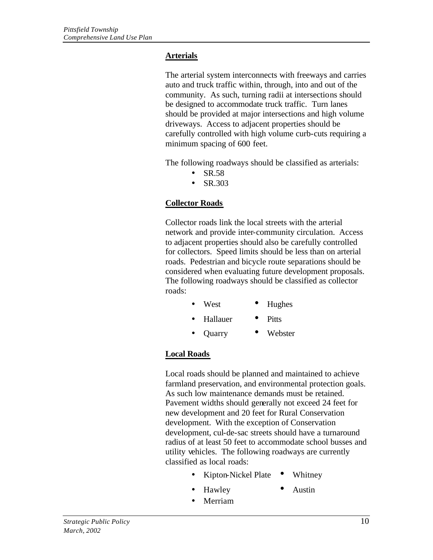## **Arterials**

The arterial system interconnects with freeways and carries auto and truck traffic within, through, into and out of the community. As such, turning radii at intersections should be designed to accommodate truck traffic. Turn lanes should be provided at major intersections and high volume driveways. Access to adjacent properties should be carefully controlled with high volume curb-cuts requiring a minimum spacing of 600 feet.

The following roadways should be classified as arterials:

- $\bullet$  SR.58
- SR.303

## **Collector Roads**

Collector roads link the local streets with the arterial network and provide inter-community circulation. Access to adjacent properties should also be carefully controlled for collectors. Speed limits should be less than on arterial roads. Pedestrian and bicycle route separations should be considered when evaluating future development proposals. The following roadways should be classified as collector roads:

- West Hughes
- Hallauer Pitts
- Quarry Webster

## **Local Roads**

Local roads should be planned and maintained to achieve farmland preservation, and environmental protection goals. As such low maintenance demands must be retained. Pavement widths should generally not exceed 24 feet for new development and 20 feet for Rural Conservation development. With the exception of Conservation development, cul-de-sac streets should have a turnaround radius of at least 50 feet to accommodate school busses and utility vehicles. The following roadways are currently classified as local roads:

- Kipton-Nickel Plate Whitney
- Hawley Austin
	-
- Merriam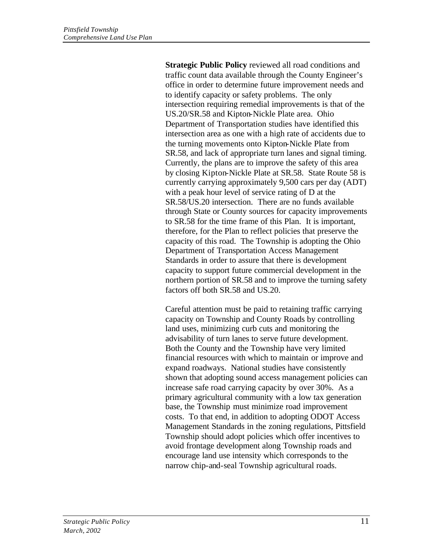**Strategic Public Policy** reviewed all road conditions and traffic count data available through the County Engineer's office in order to determine future improvement needs and to identify capacity or safety problems. The only intersection requiring remedial improvements is that of the US.20/SR.58 and Kipton-Nickle Plate area. Ohio Department of Transportation studies have identified this intersection area as one with a high rate of accidents due to the turning movements onto Kipton-Nickle Plate from SR.58, and lack of appropriate turn lanes and signal timing. Currently, the plans are to improve the safety of this area by closing Kipton-Nickle Plate at SR.58. State Route 58 is currently carrying approximately 9,500 cars per day (ADT) with a peak hour level of service rating of D at the SR.58/US.20 intersection. There are no funds available through State or County sources for capacity improvements to SR.58 for the time frame of this Plan. It is important, therefore, for the Plan to reflect policies that preserve the capacity of this road. The Township is adopting the Ohio Department of Transportation Access Management Standards in order to assure that there is development capacity to support future commercial development in the northern portion of SR.58 and to improve the turning safety factors off both SR.58 and US.20.

Careful attention must be paid to retaining traffic carrying capacity on Township and County Roads by controlling land uses, minimizing curb cuts and monitoring the advisability of turn lanes to serve future development. Both the County and the Township have very limited financial resources with which to maintain or improve and expand roadways. National studies have consistently shown that adopting sound access management policies can increase safe road carrying capacity by over 30%. As a primary agricultural community with a low tax generation base, the Township must minimize road improvement costs. To that end, in addition to adopting ODOT Access Management Standards in the zoning regulations, Pittsfield Township should adopt policies which offer incentives to avoid frontage development along Township roads and encourage land use intensity which corresponds to the narrow chip-and-seal Township agricultural roads.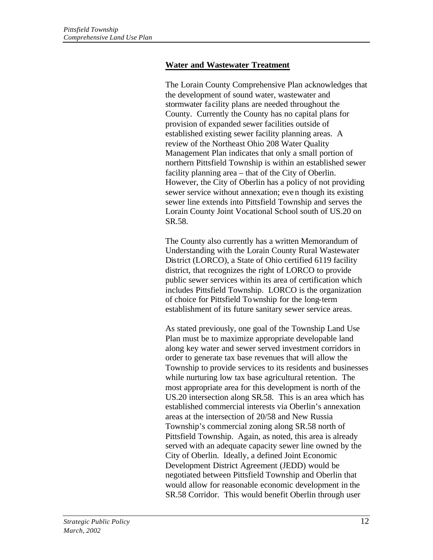## **Water and Wastewater Treatment**

The Lorain County Comprehensive Plan acknowledges that the development of sound water, wastewater and stormwater facility plans are needed throughout the County. Currently the County has no capital plans for provision of expanded sewer facilities outside of established existing sewer facility planning areas. A review of the Northeast Ohio 208 Water Quality Management Plan indicates that only a small portion of northern Pittsfield Township is within an established sewer facility planning area – that of the City of Oberlin. However, the City of Oberlin has a policy of not providing sewer service without annexation; even though its existing sewer line extends into Pittsfield Township and serves the Lorain County Joint Vocational School south of US.20 on SR.58.

The County also currently has a written Memorandum of Understanding with the Lorain County Rural Wastewater District (LORCO), a State of Ohio certified 6119 facility district, that recognizes the right of LORCO to provide public sewer services within its area of certification which includes Pittsfield Township. LORCO is the organization of choice for Pittsfield Township for the long-term establishment of its future sanitary sewer service areas.

As stated previously, one goal of the Township Land Use Plan must be to maximize appropriate developable land along key water and sewer served investment corridors in order to generate tax base revenues that will allow the Township to provide services to its residents and businesses while nurturing low tax base agricultural retention. The most appropriate area for this development is north of the US.20 intersection along SR.58. This is an area which has established commercial interests via Oberlin's annexation areas at the intersection of 20/58 and New Russia Township's commercial zoning along SR.58 north of Pittsfield Township. Again, as noted, this area is already served with an adequate capacity sewer line owned by the City of Oberlin. Ideally, a defined Joint Economic Development District Agreement (JEDD) would be negotiated between Pittsfield Township and Oberlin that would allow for reasonable economic development in the SR.58 Corridor. This would benefit Oberlin through user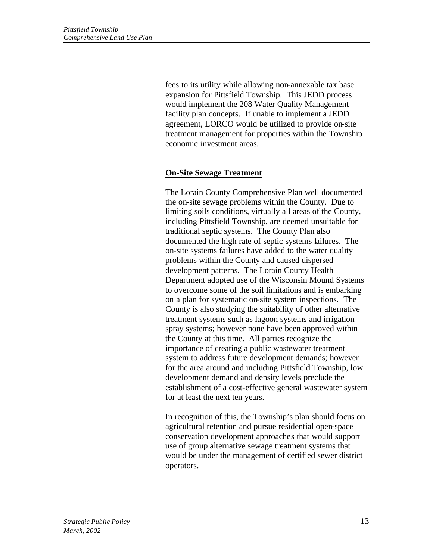fees to its utility while allowing non-annexable tax base expansion for Pittsfield Township. This JEDD process would implement the 208 Water Quality Management facility plan concepts. If unable to implement a JEDD agreement, LORCO would be utilized to provide on-site treatment management for properties within the Township economic investment areas.

### **On-Site Sewage Treatment**

The Lorain County Comprehensive Plan well documented the on-site sewage problems within the County. Due to limiting soils conditions, virtually all areas of the County, including Pittsfield Township, are deemed unsuitable for traditional septic systems. The County Plan also documented the high rate of septic systems failures. The on-site systems failures have added to the water quality problems within the County and caused dispersed development patterns. The Lorain County Health Department adopted use of the Wisconsin Mound Systems to overcome some of the soil limitations and is embarking on a plan for systematic on-site system inspections. The County is also studying the suitability of other alternative treatment systems such as lagoon systems and irrigation spray systems; however none have been approved within the County at this time. All parties recognize the importance of creating a public wastewater treatment system to address future development demands; however for the area around and including Pittsfield Township, low development demand and density levels preclude the establishment of a cost-effective general wastewater system for at least the next ten years.

In recognition of this, the Township's plan should focus on agricultural retention and pursue residential open-space conservation development approaches that would support use of group alternative sewage treatment systems that would be under the management of certified sewer district operators.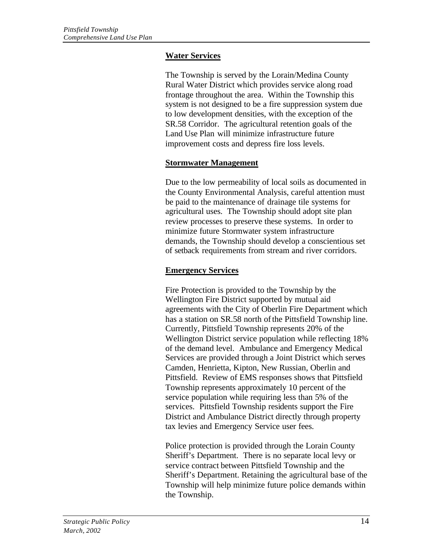## **Water Services**

The Township is served by the Lorain/Medina County Rural Water District which provides service along road frontage throughout the area. Within the Township this system is not designed to be a fire suppression system due to low development densities, with the exception of the SR.58 Corridor. The agricultural retention goals of the Land Use Plan will minimize infrastructure future improvement costs and depress fire loss levels.

### **Stormwater Management**

Due to the low permeability of local soils as documented in the County Environmental Analysis, careful attention must be paid to the maintenance of drainage tile systems for agricultural uses. The Township should adopt site plan review processes to preserve these systems. In order to minimize future Stormwater system infrastructure demands, the Township should develop a conscientious set of setback requirements from stream and river corridors.

## **Emergency Services**

Fire Protection is provided to the Township by the Wellington Fire District supported by mutual aid agreements with the City of Oberlin Fire Department which has a station on SR.58 north of the Pittsfield Township line. Currently, Pittsfield Township represents 20% of the Wellington District service population while reflecting 18% of the demand level. Ambulance and Emergency Medical Services are provided through a Joint District which serves Camden, Henrietta, Kipton, New Russian, Oberlin and Pittsfield. Review of EMS responses shows that Pittsfield Township represents approximately 10 percent of the service population while requiring less than 5% of the services. Pittsfield Township residents support the Fire District and Ambulance District directly through property tax levies and Emergency Service user fees.

Police protection is provided through the Lorain County Sheriff's Department. There is no separate local levy or service contract between Pittsfield Township and the Sheriff's Department. Retaining the agricultural base of the Township will help minimize future police demands within the Township.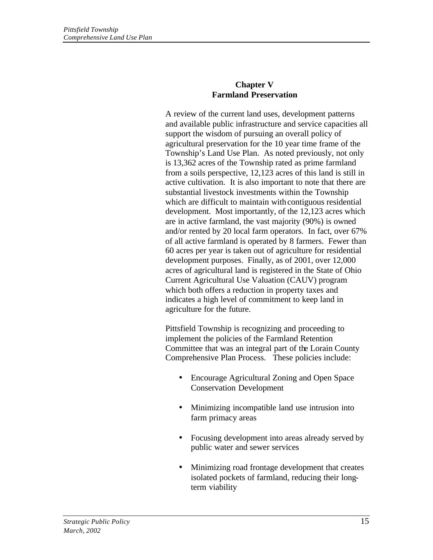### **Chapter V Farmland Preservation**

A review of the current land uses, development patterns and available public infrastructure and service capacities all support the wisdom of pursuing an overall policy of agricultural preservation for the 10 year time frame of the Township's Land Use Plan. As noted previously, not only is 13,362 acres of the Township rated as prime farmland from a soils perspective, 12,123 acres of this land is still in active cultivation. It is also important to note that there are substantial livestock investments within the Township which are difficult to maintain with contiguous residential development. Most importantly, of the 12,123 acres which are in active farmland, the vast majority (90%) is owned and/or rented by 20 local farm operators. In fact, over 67% of all active farmland is operated by 8 farmers. Fewer than 60 acres per year is taken out of agriculture for residential development purposes. Finally, as of 2001, over 12,000 acres of agricultural land is registered in the State of Ohio Current Agricultural Use Valuation (CAUV) program which both offers a reduction in property taxes and indicates a high level of commitment to keep land in agriculture for the future.

Pittsfield Township is recognizing and proceeding to implement the policies of the Farmland Retention Committee that was an integral part of the Lorain County Comprehensive Plan Process. These policies include:

- Encourage Agricultural Zoning and Open Space Conservation Development
- Minimizing incompatible land use intrusion into farm primacy areas
- Focusing development into areas already served by public water and sewer services
- Minimizing road frontage development that creates isolated pockets of farmland, reducing their longterm viability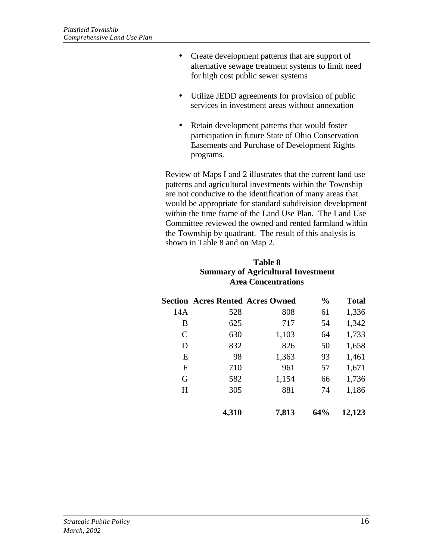- Create development patterns that are support of alternative sewage treatment systems to limit need for high cost public sewer systems
- Utilize JEDD agreements for provision of public services in investment areas without annexation
- Retain development patterns that would foster participation in future State of Ohio Conservation Easements and Purchase of Development Rights programs.

Review of Maps I and 2 illustrates that the current land use patterns and agricultural investments within the Township are not conducive to the identification of many areas that would be appropriate for standard subdivision development within the time frame of the Land Use Plan. The Land Use Committee reviewed the owned and rented farmland within the Township by quadrant. The result of this analysis is shown in Table 8 and on Map 2.

## **Table 8 Summary of Agricultural Investment Area Concentrations**

|     | <b>Section Acres Rented Acres Owned</b> |       | $\frac{0}{0}$ | <b>Total</b> |
|-----|-----------------------------------------|-------|---------------|--------------|
| 14A | 528                                     | 808   | 61            | 1,336        |
| В   | 625                                     | 717   | 54            | 1,342        |
| C   | 630                                     | 1,103 | 64            | 1,733        |
| D   | 832                                     | 826   | 50            | 1,658        |
| E   | 98                                      | 1,363 | 93            | 1,461        |
| F   | 710                                     | 961   | 57            | 1,671        |
| G   | 582                                     | 1,154 | 66            | 1,736        |
| H   | 305                                     | 881   | 74            | 1,186        |
|     | 4,310                                   | 7,813 | 64%           | 12,123       |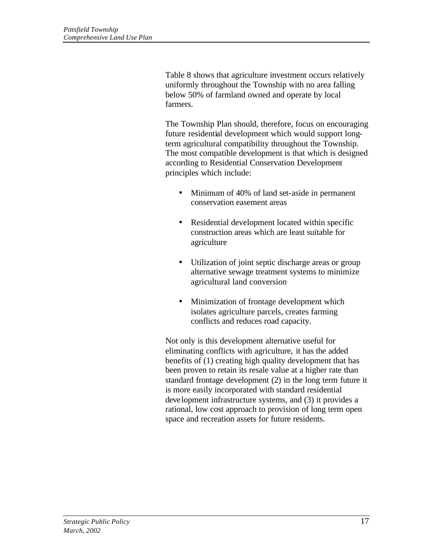Table 8 shows that agriculture investment occurs relatively uniformly throughout the Township with no area falling below 50% of farmland owned and operate by local farmers.

The Township Plan should, therefore, focus on encouraging future residential development which would support longterm agricultural compatibility throughout the Township. The most compatible development is that which is designed according to Residential Conservation Development principles which include:

- Minimum of 40% of land set-aside in permanent conservation easement areas
- Residential development located within specific construction areas which are least suitable for agriculture
- Utilization of joint septic discharge areas or group alternative sewage treatment systems to minimize agricultural land conversion
- Minimization of frontage development which isolates agriculture parcels, creates farming conflicts and reduces road capacity.

Not only is this development alternative useful for eliminating conflicts with agriculture, it has the added benefits of (1) creating high quality development that has been proven to retain its resale value at a higher rate than standard frontage development (2) in the long term future it is more easily incorporated with standard residential development infrastructure systems, and (3) it provides a rational, low cost approach to provision of long term open space and recreation assets for future residents.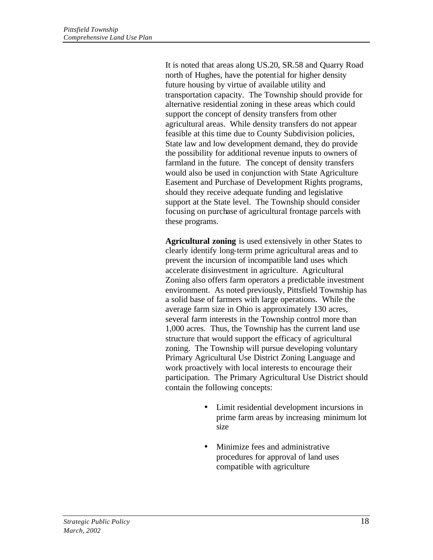It is noted that areas along US.20, SR.58 and Quarry Road north of Hughes, have the potential for higher density future housing by virtue of available utility and transportation capacity. The Township should provide for alternative residential zoning in these areas which could support the concept of density transfers from other agricultural areas. While density transfers do not appear feasible at this time due to County Subdivision policies, State law and low development demand, they do provide the possibility for additional revenue inputs to owners of farmland in the future. The concept of density transfers would also be used in conjunction with State Agriculture Easement and Purchase of Development Rights programs, should they receive adequate funding and legislative support at the State level. The Township should consider focusing on purchase of agricultural frontage parcels with these programs.

**Agricultural zoning** is used extensively in other States to clearly identify long-term prime agricultural areas and to prevent the incursion of incompatible land uses which accelerate disinvestment in agriculture. Agricultural Zoning also offers farm operators a predictable investment environment. As noted previously, Pittsfield Township has a solid base of farmers with large operations. While the average farm size in Ohio is approximately 130 acres, several farm interests in the Township control more than 1,000 acres. Thus, the Township has the current land use structure that would support the efficacy of agricultural zoning. The Township will pursue developing voluntary Primary Agricultural Use District Zoning Language and work proactively with local interests to encourage their participation. The Primary Agricultural Use District should contain the following concepts:

- Limit residential development incursions in prime farm areas by increasing minimum lot size
- Minimize fees and administrative procedures for approval of land uses compatible with agriculture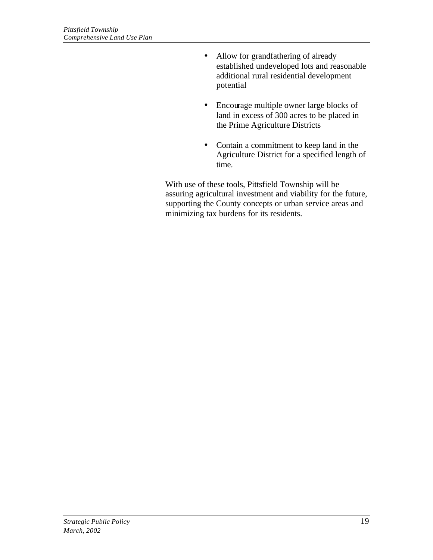- Allow for grandfathering of already established undeveloped lots and reasonable additional rural residential development potential
- Encourage multiple owner large blocks of land in excess of 300 acres to be placed in the Prime Agriculture Districts
- Contain a commitment to keep land in the Agriculture District for a specified length of time.

With use of these tools, Pittsfield Township will be assuring agricultural investment and viability for the future, supporting the County concepts or urban service areas and minimizing tax burdens for its residents.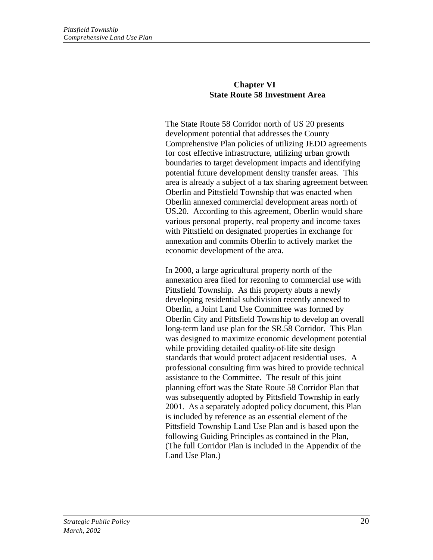## **Chapter VI State Route 58 Investment Area**

The State Route 58 Corridor north of US 20 presents development potential that addresses the County Comprehensive Plan policies of utilizing JEDD agreements for cost effective infrastructure, utilizing urban growth boundaries to target development impacts and identifying potential future development density transfer areas. This area is already a subject of a tax sharing agreement between Oberlin and Pittsfield Township that was enacted when Oberlin annexed commercial development areas north of US.20. According to this agreement, Oberlin would share various personal property, real property and income taxes with Pittsfield on designated properties in exchange for annexation and commits Oberlin to actively market the economic development of the area.

In 2000, a large agricultural property north of the annexation area filed for rezoning to commercial use with Pittsfield Township. As this property abuts a newly developing residential subdivision recently annexed to Oberlin, a Joint Land Use Committee was formed by Oberlin City and Pittsfield Township to develop an overall long-term land use plan for the SR.58 Corridor. This Plan was designed to maximize economic development potential while providing detailed quality-of-life site design standards that would protect adjacent residential uses. A professional consulting firm was hired to provide technical assistance to the Committee. The result of this joint planning effort was the State Route 58 Corridor Plan that was subsequently adopted by Pittsfield Township in early 2001. As a separately adopted policy document, this Plan is included by reference as an essential element of the Pittsfield Township Land Use Plan and is based upon the following Guiding Principles as contained in the Plan, (The full Corridor Plan is included in the Appendix of the Land Use Plan.)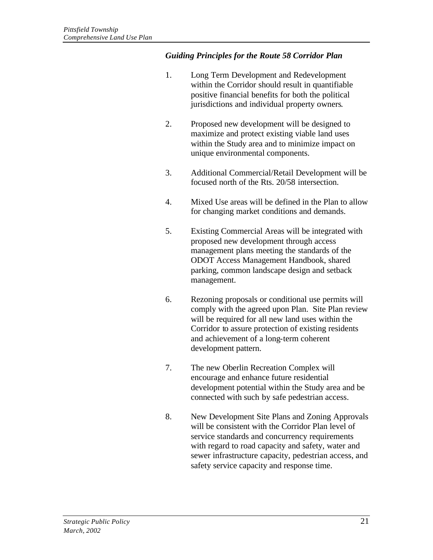## *Guiding Principles for the Route 58 Corridor Plan*

- 1. Long Term Development and Redevelopment within the Corridor should result in quantifiable positive financial benefits for both the political jurisdictions and individual property owners.
- 2. Proposed new development will be designed to maximize and protect existing viable land uses within the Study area and to minimize impact on unique environmental components.
- 3. Additional Commercial/Retail Development will be focused north of the Rts. 20/58 intersection.
- 4. Mixed Use areas will be defined in the Plan to allow for changing market conditions and demands.
- 5. Existing Commercial Areas will be integrated with proposed new development through access management plans meeting the standards of the ODOT Access Management Handbook, shared parking, common landscape design and setback management.
- 6. Rezoning proposals or conditional use permits will comply with the agreed upon Plan. Site Plan review will be required for all new land uses within the Corridor to assure protection of existing residents and achievement of a long-term coherent development pattern.
- 7. The new Oberlin Recreation Complex will encourage and enhance future residential development potential within the Study area and be connected with such by safe pedestrian access.
- 8. New Development Site Plans and Zoning Approvals will be consistent with the Corridor Plan level of service standards and concurrency requirements with regard to road capacity and safety, water and sewer infrastructure capacity, pedestrian access, and safety service capacity and response time.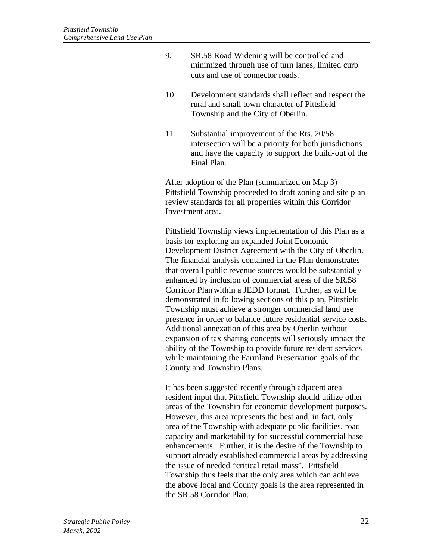- 9. SR.58 Road Widening will be controlled and minimized through use of turn lanes, limited curb cuts and use of connector roads.
- 10. Development standards shall reflect and respect the rural and small town character of Pittsfield Township and the City of Oberlin.
- 11. Substantial improvement of the Rts. 20/58 intersection will be a priority for both jurisdictions and have the capacity to support the build-out of the Final Plan.

After adoption of the Plan (summarized on Map 3) Pittsfield Township proceeded to draft zoning and site plan review standards for all properties within this Corridor Investment area.

Pittsfield Township views implementation of this Plan as a basis for exploring an expanded Joint Economic Development District Agreement with the City of Oberlin. The financial analysis contained in the Plan demonstrates that overall public revenue sources would be substantially enhanced by inclusion of commercial areas of the SR.58 Corridor Plan within a JEDD format. Further, as will be demonstrated in following sections of this plan, Pittsfield Township must achieve a stronger commercial land use presence in order to balance future residential service costs. Additional annexation of this area by Oberlin without expansion of tax sharing concepts will seriously impact the ability of the Township to provide future resident services while maintaining the Farmland Preservation goals of the County and Township Plans.

It has been suggested recently through adjacent area resident input that Pittsfield Township should utilize other areas of the Township for economic development purposes. However, this area represents the best and, in fact, only area of the Township with adequate public facilities, road capacity and marketability for successful commercial base enhancements. Further, it is the desire of the Township to support already established commercial areas by addressing the issue of needed "critical retail mass". Pittsfield Township thus feels that the only area which can achieve the above local and County goals is the area represented in the SR.58 Corridor Plan.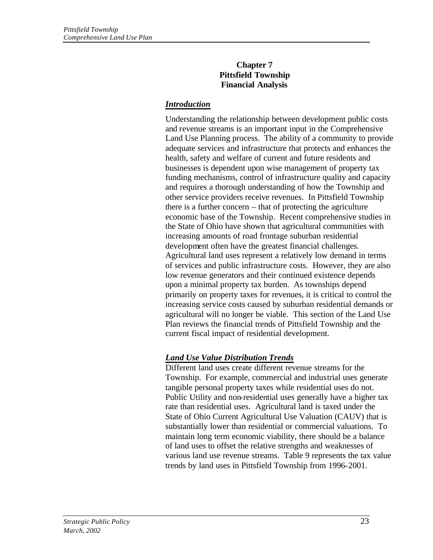### **Chapter 7 Pittsfield Township Financial Analysis**

# *Introduction*

Understanding the relationship between development public costs and revenue streams is an important input in the Comprehensive Land Use Planning process. The ability of a community to provide adequate services and infrastructure that protects and enhances the health, safety and welfare of current and future residents and businesses is dependent upon wise management of property tax funding mechanisms, control of infrastructure quality and capacity and requires a thorough understanding of how the Township and other service providers receive revenues. In Pittsfield Township there is a further concern – that of protecting the agriculture economic base of the Township. Recent comprehensive studies in the State of Ohio have shown that agricultural communities with increasing amounts of road frontage suburban residential development often have the greatest financial challenges. Agricultural land uses represent a relatively low demand in terms of services and public infrastructure costs. However, they are also low revenue generators and their continued existence depends upon a minimal property tax burden. As townships depend primarily on property taxes for revenues, it is critical to control the increasing service costs caused by suburban residential demands or agricultural will no longer be viable. This section of the Land Use Plan reviews the financial trends of Pittsfield Township and the current fiscal impact of residential development.

# *Land Use Value Distribution Trends*

Different land uses create different revenue streams for the Township. For example, commercial and industrial uses generate tangible personal property taxes while residential uses do not. Public Utility and non-residential uses generally have a higher tax rate than residential uses. Agricultural land is taxed under the State of Ohio Current Agricultural Use Valuation (CAUV) that is substantially lower than residential or commercial valuations. To maintain long term economic viability, there should be a balance of land uses to offset the relative strengths and weaknesses of various land use revenue streams. Table 9 represents the tax value trends by land uses in Pittsfield Township from 1996-2001.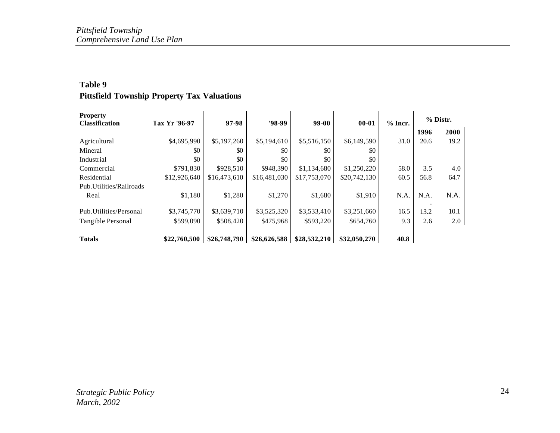## **Table 9 Pittsfield Township Property Tax Valuations**

| <b>Property</b>          | Tax Yr '96-97 |              | $'98-99$     | 99-00        | $00 - 01$    |           |      | % Distr. |
|--------------------------|---------------|--------------|--------------|--------------|--------------|-----------|------|----------|
| <b>Classification</b>    |               | 97-98        |              |              |              | $%$ Incr. | 1996 | 2000     |
| Agricultural             | \$4,695,990   | \$5,197,260  | \$5,194,610  | \$5,516,150  | \$6,149,590  | 31.0      | 20.6 | 19.2     |
| Mineral                  | \$0           | \$0          | \$0          | \$0          | \$0          |           |      |          |
| Industrial               | \$0           | \$0          | \$0          | \$0          | \$0          |           |      |          |
| Commercial               | \$791,830     | \$928,510    | \$948,390    | \$1,134,680  | \$1,250,220  | 58.0      | 3.5  | 4.0      |
| Residential              | \$12,926,640  | \$16,473,610 | \$16,481,030 | \$17,753,070 | \$20,742,130 | 60.5      | 56.8 | 64.7     |
| Pub. Utilities/Railroads |               |              |              |              |              |           |      |          |
| Real                     | \$1,180       | \$1,280      | \$1,270      | \$1,680      | \$1,910      | N.A.      | N.A. | N.A.     |
| Pub. Utilities/Personal  | \$3,745,770   | \$3,639,710  | \$3,525,320  | \$3,533,410  | \$3,251,660  | 16.5      | 13.2 | 10.1     |
| Tangible Personal        | \$599,090     | \$508,420    | \$475,968    | \$593,220    | \$654,760    | 9.3       | 2.6  | 2.0      |
| <b>Totals</b>            | \$22,760,500  | \$26,748,790 | \$26,626,588 | \$28,532,210 | \$32,050,270 | 40.8      |      |          |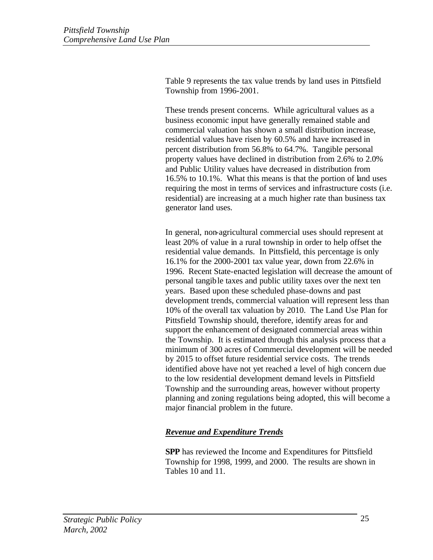Table 9 represents the tax value trends by land uses in Pittsfield Township from 1996-2001.

These trends present concerns. While agricultural values as a business economic input have generally remained stable and commercial valuation has shown a small distribution increase, residential values have risen by 60.5% and have increased in percent distribution from 56.8% to 64.7%. Tangible personal property values have declined in distribution from 2.6% to 2.0% and Public Utility values have decreased in distribution from 16.5% to 10.1%. What this means is that the portion of land uses requiring the most in terms of services and infrastructure costs (i.e. residential) are increasing at a much higher rate than business tax generator land uses.

In general, non-agricultural commercial uses should represent at least 20% of value in a rural township in order to help offset the residential value demands. In Pittsfield, this percentage is only 16.1% for the 2000-2001 tax value year, down from 22.6% in 1996. Recent State-enacted legislation will decrease the amount of personal tangible taxes and public utility taxes over the next ten years. Based upon these scheduled phase-downs and past development trends, commercial valuation will represent less than 10% of the overall tax valuation by 2010. The Land Use Plan for Pittsfield Township should, therefore, identify areas for and support the enhancement of designated commercial areas within the Township. It is estimated through this analysis process that a minimum of 300 acres of Commercial development will be needed by 2015 to offset future residential service costs. The trends identified above have not yet reached a level of high concern due to the low residential development demand levels in Pittsfield Township and the surrounding areas, however without property planning and zoning regulations being adopted, this will become a major financial problem in the future.

# *Revenue and Expenditure Trends*

**SPP** has reviewed the Income and Expenditures for Pittsfield Township for 1998, 1999, and 2000. The results are shown in Tables 10 and 11.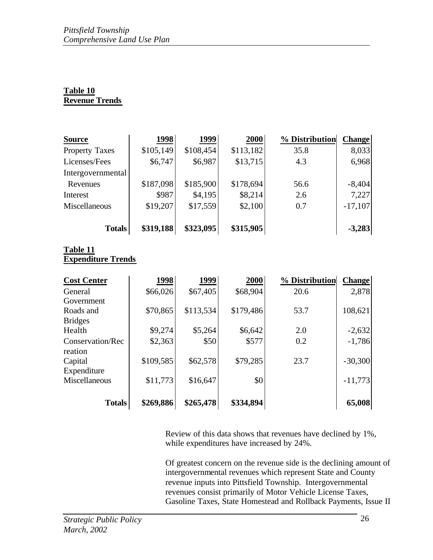# **Table 10 Revenue Trends**

| <b>Source</b>         | 1998      | 1999      | 2000      | % Distribution | <b>Change</b> |
|-----------------------|-----------|-----------|-----------|----------------|---------------|
| <b>Property Taxes</b> | \$105,149 | \$108,454 | \$113,182 | 35.8           | 8,033         |
| Licenses/Fees         | \$6,747   | \$6,987   | \$13,715  | 4.3            | 6,968         |
| Intergovernmental     |           |           |           |                |               |
| Revenues              | \$187,098 | \$185,900 | \$178,694 | 56.6           | $-8,404$      |
| Interest              | \$987     | \$4,195   | \$8,214   | 2.6            | 7,227         |
| Miscellaneous         | \$19,207  | \$17,559  | \$2,100   | 0.7            | $-17,107$     |
| <b>Totals</b>         | \$319,188 | \$323,095 | \$315,905 |                | $-3,283$      |

#### **Table 11 Expenditure Trends**

| <b>Cost Center</b> | 1998      | 1999      | 2000      | % Distribution | <b>Change</b> |
|--------------------|-----------|-----------|-----------|----------------|---------------|
| General            | \$66,026  | \$67,405  | \$68,904  | 20.6           | 2,878         |
| Government         |           |           |           |                |               |
| Roads and          | \$70,865  | \$113,534 | \$179,486 | 53.7           | 108,621       |
| <b>Bridges</b>     |           |           |           |                |               |
| Health             | \$9,274   | \$5,264   | \$6,642   | 2.0            | $-2,632$      |
| Conservation/Rec   | \$2,363   | \$50      | \$577     | 0.2            | $-1,786$      |
| reation            |           |           |           |                |               |
| Capital            | \$109,585 | \$62,578  | \$79,285  | 23.7           | $-30,300$     |
| Expenditure        |           |           |           |                |               |
| Miscellaneous      | \$11,773  | \$16,647  | \$0       |                | $-11,773$     |
| <b>Totals</b>      | \$269,886 | \$265,478 | \$334,894 |                | 65,008        |

Review of this data shows that revenues have declined by 1%, while expenditures have increased by 24%.

Of greatest concern on the revenue side is the declining amount of intergovernmental revenues which represent State and County revenue inputs into Pittsfield Township. Intergovernmental revenues consist primarily of Motor Vehicle License Taxes, Gasoline Taxes, State Homestead and Rollback Payments, Issue II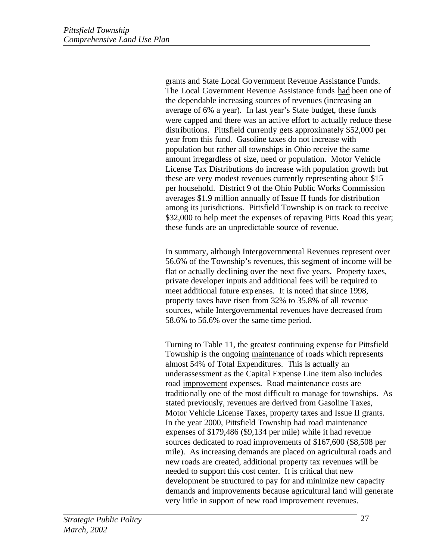grants and State Local Government Revenue Assistance Funds. The Local Government Revenue Assistance funds had been one of the dependable increasing sources of revenues (increasing an average of 6% a year). In last year's State budget, these funds were capped and there was an active effort to actually reduce these distributions. Pittsfield currently gets approximately \$52,000 per year from this fund. Gasoline taxes do not increase with population but rather all townships in Ohio receive the same amount irregardless of size, need or population. Motor Vehicle License Tax Distributions do increase with population growth but these are very modest revenues currently representing about \$15 per household. District 9 of the Ohio Public Works Commission averages \$1.9 million annually of Issue II funds for distribution among its jurisdictions. Pittsfield Township is on track to receive \$32,000 to help meet the expenses of repaving Pitts Road this year; these funds are an unpredictable source of revenue.

In summary, although Intergovernmental Revenues represent over 56.6% of the Township's revenues, this segment of income will be flat or actually declining over the next five years. Property taxes, private developer inputs and additional fees will be required to meet additional future expenses. It is noted that since 1998, property taxes have risen from 32% to 35.8% of all revenue sources, while Intergovernmental revenues have decreased from 58.6% to 56.6% over the same time period.

Turning to Table 11, the greatest continuing expense for Pittsfield Township is the ongoing maintenance of roads which represents almost 54% of Total Expenditures. This is actually an underassessment as the Capital Expense Line item also includes road improvement expenses. Road maintenance costs are traditionally one of the most difficult to manage for townships. As stated previously, revenues are derived from Gasoline Taxes, Motor Vehicle License Taxes, property taxes and Issue II grants. In the year 2000, Pittsfield Township had road maintenance expenses of \$179,486 (\$9,134 per mile) while it had revenue sources dedicated to road improvements of \$167,600 (\$8,508 per mile). As increasing demands are placed on agricultural roads and new roads are created, additional property tax revenues will be needed to support this cost center. It is critical that new development be structured to pay for and minimize new capacity demands and improvements because agricultural land will generate very little in support of new road improvement revenues.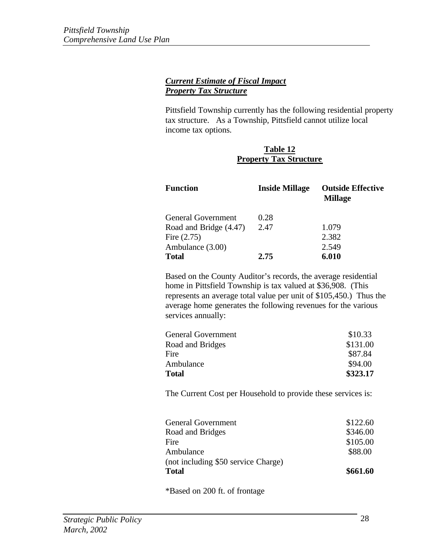## *Current Estimate of Fiscal Impact Property Tax Structure*

Pittsfield Township currently has the following residential property tax structure. As a Township, Pittsfield cannot utilize local income tax options.

## **Table 12 Property Tax Structure**

| <b>Function</b>        | <b>Inside Millage</b> | <b>Outside Effective</b><br><b>Millage</b> |
|------------------------|-----------------------|--------------------------------------------|
| General Government     | 0.28                  |                                            |
| Road and Bridge (4.47) | 2.47                  | 1.079                                      |
| Fire $(2.75)$          |                       | 2.382                                      |
| Ambulance (3.00)       |                       | 2.549                                      |
| <b>Total</b>           | 2.75                  | 6.010                                      |

Based on the County Auditor's records, the average residential home in Pittsfield Township is tax valued at \$36,908. (This represents an average total value per unit of \$105,450.) Thus the average home generates the following revenues for the various services annually:

| General Government | \$10.33  |
|--------------------|----------|
| Road and Bridges   | \$131.00 |
| Fire               | \$87.84  |
| Ambulance          | \$94.00  |
| Total              | \$323.17 |
|                    |          |

The Current Cost per Household to provide these services is:

| <b>Total</b>                        | \$661.60 |
|-------------------------------------|----------|
| (not including \$50 service Charge) |          |
| Ambulance                           | \$88.00  |
| Fire                                | \$105.00 |
| Road and Bridges                    | \$346.00 |
| <b>General Government</b>           | \$122.60 |
|                                     |          |

\*Based on 200 ft. of frontage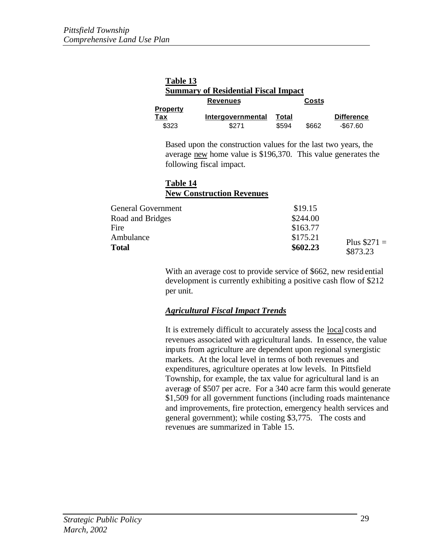| Table 13        |                                             |       |       |                   |
|-----------------|---------------------------------------------|-------|-------|-------------------|
|                 | <b>Summary of Residential Fiscal Impact</b> |       |       |                   |
|                 | <b>Revenues</b>                             |       | Costs |                   |
| <u>Property</u> |                                             |       |       |                   |
| Tax             | Intergovernmental                           | Total |       | <b>Difference</b> |
| \$323           | \$271                                       | \$594 | \$662 | $-$ \$67.60       |

Based upon the construction values for the last two years, the average new home value is \$196,370. This value generates the following fiscal impact.

## **Table 14 New Construction Revenues**

| <b>General Government</b> | \$19.15  |               |
|---------------------------|----------|---------------|
| Road and Bridges          | \$244.00 |               |
| Fire                      | \$163.77 |               |
| Ambulance                 | \$175.21 | Plus $$271 =$ |
| Total                     | \$602.23 | \$873.23      |
|                           |          |               |

With an average cost to provide service of \$662, new residential development is currently exhibiting a positive cash flow of \$212 per unit.

## *Agricultural Fiscal Impact Trends*

It is extremely difficult to accurately assess the local costs and revenues associated with agricultural lands. In essence, the value inputs from agriculture are dependent upon regional synergistic markets. At the local level in terms of both revenues and expenditures, agriculture operates at low levels. In Pittsfield Township, for example, the tax value for agricultural land is an average of \$507 per acre. For a 340 acre farm this would generate \$1,509 for all government functions (including roads maintenance and improvements, fire protection, emergency health services and general government); while costing \$3,775. The costs and revenues are summarized in Table 15.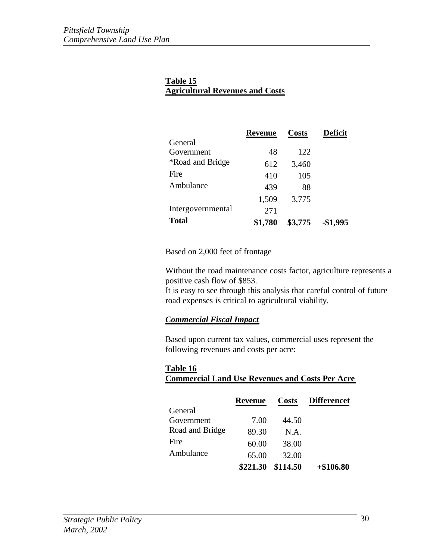# **Table 15 Agricultural Revenues and Costs**

|                                | <b>Revenue</b> | <b>Costs</b> | <b>Deficit</b> |
|--------------------------------|----------------|--------------|----------------|
| General                        |                |              |                |
| Government                     | 48             | 122          |                |
| <i><b>*Road and Bridge</b></i> | 612            | 3,460        |                |
| Fire                           | 410            | 105          |                |
| Ambulance                      | 439            | 88           |                |
|                                | 1,509          | 3,775        |                |
| Intergovernmental              | 271            |              |                |
| <b>Total</b>                   | \$1,780        | \$3,775      | -\$1,995       |

Based on 2,000 feet of frontage

Without the road maintenance costs factor, agriculture represents a positive cash flow of \$853.

It is easy to see through this analysis that careful control of future road expenses is critical to agricultural viability.

# *Commercial Fiscal Impact*

Based upon current tax values, commercial uses represent the following revenues and costs per acre:

# **Table 16 Commercial Land Use Revenues and Costs Per Acre**

|                 | <b>Revenue</b>    | <b>Costs</b> | <b>Differencet</b> |
|-----------------|-------------------|--------------|--------------------|
| General         |                   |              |                    |
| Government      | 7.00              | 44.50        |                    |
| Road and Bridge | 89.30             | N.A.         |                    |
| Fire            | 60.00             | 38.00        |                    |
| Ambulance       | 65.00             | 32.00        |                    |
|                 | \$221.30 \$114.50 |              | $+\$106.80$        |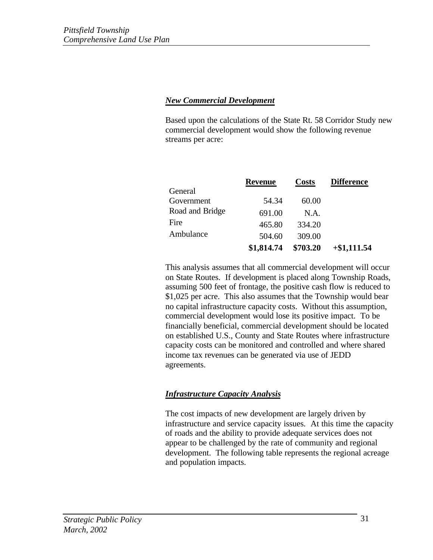### *New Commercial Development*

Based upon the calculations of the State Rt. 58 Corridor Study new commercial development would show the following revenue streams per acre:

|                 | <b>Revenue</b> | <b>Costs</b> | <b>Difference</b> |
|-----------------|----------------|--------------|-------------------|
| General         |                |              |                   |
| Government      | 54.34          | 60.00        |                   |
| Road and Bridge | 691.00         | N.A.         |                   |
| Fire            | 465.80         | 334.20       |                   |
| Ambulance       | 504.60         | 309.00       |                   |
|                 | \$1,814.74     | \$703.20     | $+$ \$1,111.54    |

This analysis assumes that all commercial development will occur on State Routes. If development is placed along Township Roads, assuming 500 feet of frontage, the positive cash flow is reduced to \$1,025 per acre. This also assumes that the Township would bear no capital infrastructure capacity costs. Without this assumption, commercial development would lose its positive impact. To be financially beneficial, commercial development should be located on established U.S., County and State Routes where infrastructure capacity costs can be monitored and controlled and where shared income tax revenues can be generated via use of JEDD agreements.

## *Infrastructure Capacity Analysis*

The cost impacts of new development are largely driven by infrastructure and service capacity issues. At this time the capacity of roads and the ability to provide adequate services does not appear to be challenged by the rate of community and regional development. The following table represents the regional acreage and population impacts.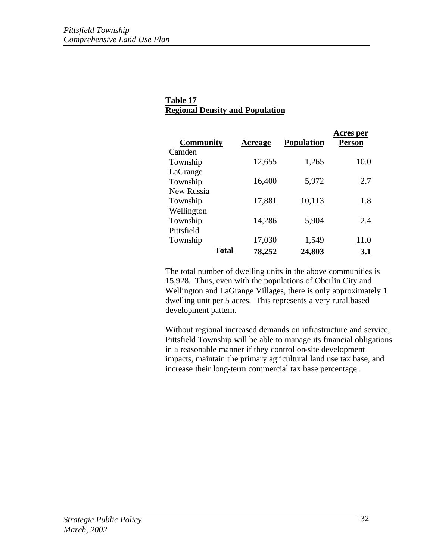## **Table 17 Regional Density and Population**

| <b>Community</b>  |              | <b>Acreage</b> | <b>Population</b> | Acres per<br><b>Person</b> |
|-------------------|--------------|----------------|-------------------|----------------------------|
| Camden            |              |                |                   |                            |
| Township          |              | 12,655         | 1,265             | 10.0                       |
| LaGrange          |              |                |                   |                            |
| Township          |              | 16,400         | 5,972             | 2.7                        |
| <b>New Russia</b> |              |                |                   |                            |
| Township          |              | 17,881         | 10,113            | 1.8                        |
| Wellington        |              |                |                   |                            |
| Township          |              | 14,286         | 5,904             | 2.4                        |
| Pittsfield        |              |                |                   |                            |
| Township          |              | 17,030         | 1,549             | 11.0                       |
|                   | <b>Total</b> | 78,252         | 24,803            | 3.1                        |

The total number of dwelling units in the above communities is 15,928. Thus, even with the populations of Oberlin City and Wellington and LaGrange Villages, there is only approximately 1 dwelling unit per 5 acres. This represents a very rural based development pattern.

Without regional increased demands on infrastructure and service, Pittsfield Township will be able to manage its financial obligations in a reasonable manner if they control on-site development impacts, maintain the primary agricultural land use tax base, and increase their long-term commercial tax base percentage..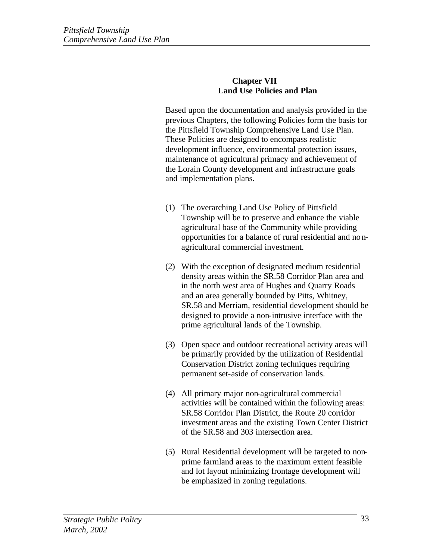#### **Chapter VII Land Use Policies and Plan**

Based upon the documentation and analysis provided in the previous Chapters, the following Policies form the basis for the Pittsfield Township Comprehensive Land Use Plan. These Policies are designed to encompass realistic development influence, environmental protection issues, maintenance of agricultural primacy and achievement of the Lorain County development and infrastructure goals and implementation plans.

- (1) The overarching Land Use Policy of Pittsfield Township will be to preserve and enhance the viable agricultural base of the Community while providing opportunities for a balance of rural residential and nonagricultural commercial investment.
- (2) With the exception of designated medium residential density areas within the SR.58 Corridor Plan area and in the north west area of Hughes and Quarry Roads and an area generally bounded by Pitts, Whitney, SR.58 and Merriam, residential development should be designed to provide a non-intrusive interface with the prime agricultural lands of the Township.
- (3) Open space and outdoor recreational activity areas will be primarily provided by the utilization of Residential Conservation District zoning techniques requiring permanent set-aside of conservation lands.
- (4) All primary major non-agricultural commercial activities will be contained within the following areas: SR.58 Corridor Plan District, the Route 20 corridor investment areas and the existing Town Center District of the SR.58 and 303 intersection area.
- (5) Rural Residential development will be targeted to nonprime farmland areas to the maximum extent feasible and lot layout minimizing frontage development will be emphasized in zoning regulations.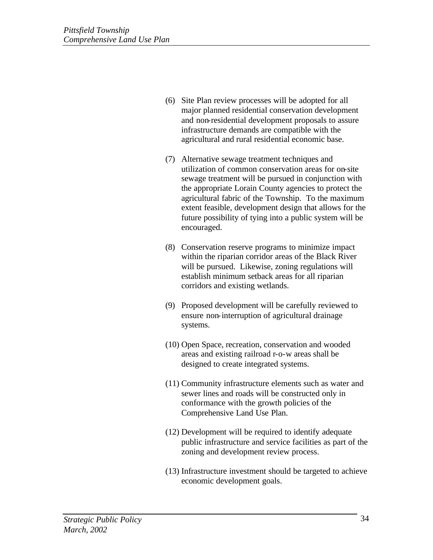- (6) Site Plan review processes will be adopted for all major planned residential conservation development and non-residential development proposals to assure infrastructure demands are compatible with the agricultural and rural residential economic base.
- (7) Alternative sewage treatment techniques and utilization of common conservation areas for on-site sewage treatment will be pursued in conjunction with the appropriate Lorain County agencies to protect the agricultural fabric of the Township. To the maximum extent feasible, development design that allows for the future possibility of tying into a public system will be encouraged.
- (8) Conservation reserve programs to minimize impact within the riparian corridor areas of the Black River will be pursued. Likewise, zoning regulations will establish minimum setback areas for all riparian corridors and existing wetlands.
- (9) Proposed development will be carefully reviewed to ensure non-interruption of agricultural drainage systems.
- (10) Open Space, recreation, conservation and wooded areas and existing railroad r-o-w areas shall be designed to create integrated systems.
- (11) Community infrastructure elements such as water and sewer lines and roads will be constructed only in conformance with the growth policies of the Comprehensive Land Use Plan.
- (12) Development will be required to identify adequate public infrastructure and service facilities as part of the zoning and development review process.
- (13) Infrastructure investment should be targeted to achieve economic development goals.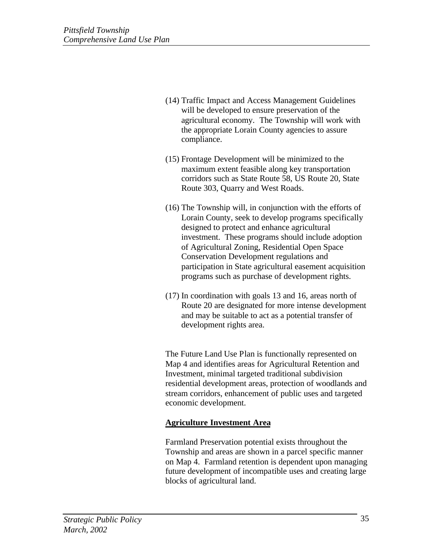- (14) Traffic Impact and Access Management Guidelines will be developed to ensure preservation of the agricultural economy. The Township will work with the appropriate Lorain County agencies to assure compliance.
- (15) Frontage Development will be minimized to the maximum extent feasible along key transportation corridors such as State Route 58, US Route 20, State Route 303, Quarry and West Roads.
- (16) The Township will, in conjunction with the efforts of Lorain County, seek to develop programs specifically designed to protect and enhance agricultural investment. These programs should include adoption of Agricultural Zoning, Residential Open Space Conservation Development regulations and participation in State agricultural easement acquisition programs such as purchase of development rights.
- (17) In coordination with goals 13 and 16, areas north of Route 20 are designated for more intense development and may be suitable to act as a potential transfer of development rights area.

The Future Land Use Plan is functionally represented on Map 4 and identifies areas for Agricultural Retention and Investment, minimal targeted traditional subdivision residential development areas, protection of woodlands and stream corridors, enhancement of public uses and targeted economic development.

## **Agriculture Investment Area**

Farmland Preservation potential exists throughout the Township and areas are shown in a parcel specific manner on Map 4. Farmland retention is dependent upon managing future development of incompatible uses and creating large blocks of agricultural land.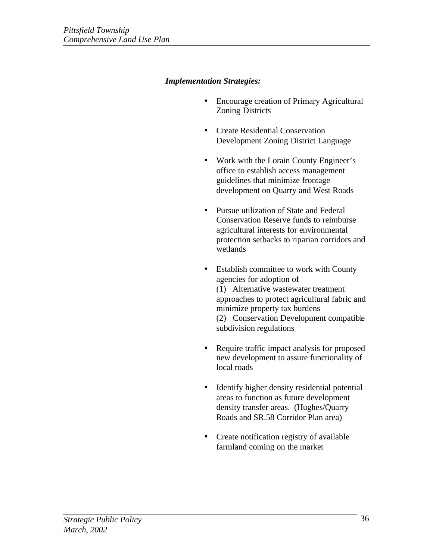## *Implementation Strategies:*

- Encourage creation of Primary Agricultural Zoning Districts
- Create Residential Conservation Development Zoning District Language
- Work with the Lorain County Engineer's office to establish access management guidelines that minimize frontage development on Quarry and West Roads
- Pursue utilization of State and Federal Conservation Reserve funds to reimburse agricultural interests for environmental protection setbacks to riparian corridors and wetlands
- Establish committee to work with County agencies for adoption of (1) Alternative wastewater treatment approaches to protect agricultural fabric and minimize property tax burdens (2) Conservation Development compatible subdivision regulations
- Require traffic impact analysis for proposed new development to assure functionality of local roads
- Identify higher density residential potential areas to function as future development density transfer areas. (Hughes/Quarry Roads and SR.58 Corridor Plan area)
- Create notification registry of available farmland coming on the market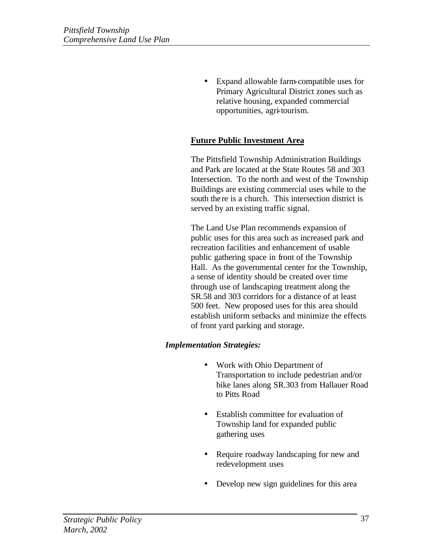• Expand allowable farm-compatible uses for Primary Agricultural District zones such as relative housing, expanded commercial opportunities, agri-tourism.

# **Future Public Investment Area**

The Pittsfield Township Administration Buildings and Park are located at the State Routes 58 and 303 Intersection. To the north and west of the Township Buildings are existing commercial uses while to the south there is a church. This intersection district is served by an existing traffic signal.

The Land Use Plan recommends expansion of public uses for this area such as increased park and recreation facilities and enhancement of usable public gathering space in front of the Township Hall. As the governmental center for the Township, a sense of identity should be created over time through use of landscaping treatment along the SR.58 and 303 corridors for a distance of at least 500 feet. New proposed uses for this area should establish uniform setbacks and minimize the effects of front yard parking and storage.

## *Implementation Strategies:*

- Work with Ohio Department of Transportation to include pedestrian and/or bike lanes along SR.303 from Hallauer Road to Pitts Road
- Establish committee for evaluation of Township land for expanded public gathering uses
- Require roadway landscaping for new and redevelopment uses
- Develop new sign guidelines for this area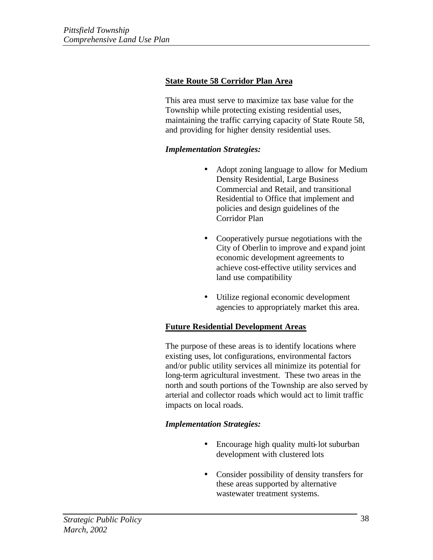# **State Route 58 Corridor Plan Area**

This area must serve to maximize tax base value for the Township while protecting existing residential uses, maintaining the traffic carrying capacity of State Route 58, and providing for higher density residential uses.

## *Implementation Strategies:*

- Adopt zoning language to allow for Medium Density Residential, Large Business Commercial and Retail, and transitional Residential to Office that implement and policies and design guidelines of the Corridor Plan
- Cooperatively pursue negotiations with the City of Oberlin to improve and expand joint economic development agreements to achieve cost-effective utility services and land use compatibility
- Utilize regional economic development agencies to appropriately market this area.

## **Future Residential Development Areas**

The purpose of these areas is to identify locations where existing uses, lot configurations, environmental factors and/or public utility services all minimize its potential for long-term agricultural investment. These two areas in the north and south portions of the Township are also served by arterial and collector roads which would act to limit traffic impacts on local roads.

## *Implementation Strategies:*

- Encourage high quality multi-lot suburban development with clustered lots
- Consider possibility of density transfers for these areas supported by alternative wastewater treatment systems.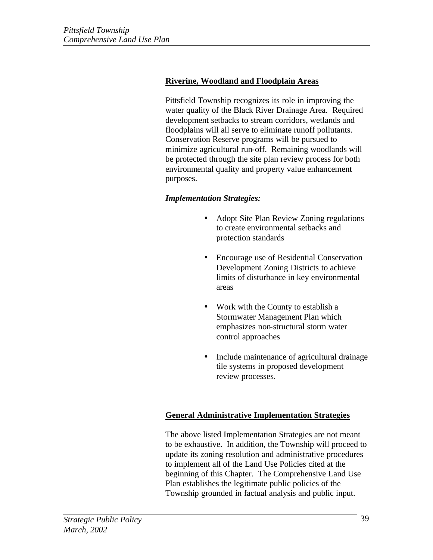# **Riverine, Woodland and Floodplain Areas**

Pittsfield Township recognizes its role in improving the water quality of the Black River Drainage Area. Required development setbacks to stream corridors, wetlands and floodplains will all serve to eliminate runoff pollutants. Conservation Reserve programs will be pursued to minimize agricultural run-off. Remaining woodlands will be protected through the site plan review process for both environmental quality and property value enhancement purposes.

## *Implementation Strategies:*

- Adopt Site Plan Review Zoning regulations to create environmental setbacks and protection standards
- Encourage use of Residential Conservation Development Zoning Districts to achieve limits of disturbance in key environmental areas
- Work with the County to establish a Stormwater Management Plan which emphasizes non-structural storm water control approaches
- Include maintenance of agricultural drainage tile systems in proposed development review processes.

## **General Administrative Implementation Strategies**

The above listed Implementation Strategies are not meant to be exhaustive. In addition, the Township will proceed to update its zoning resolution and administrative procedures to implement all of the Land Use Policies cited at the beginning of this Chapter. The Comprehensive Land Use Plan establishes the legitimate public policies of the Township grounded in factual analysis and public input.